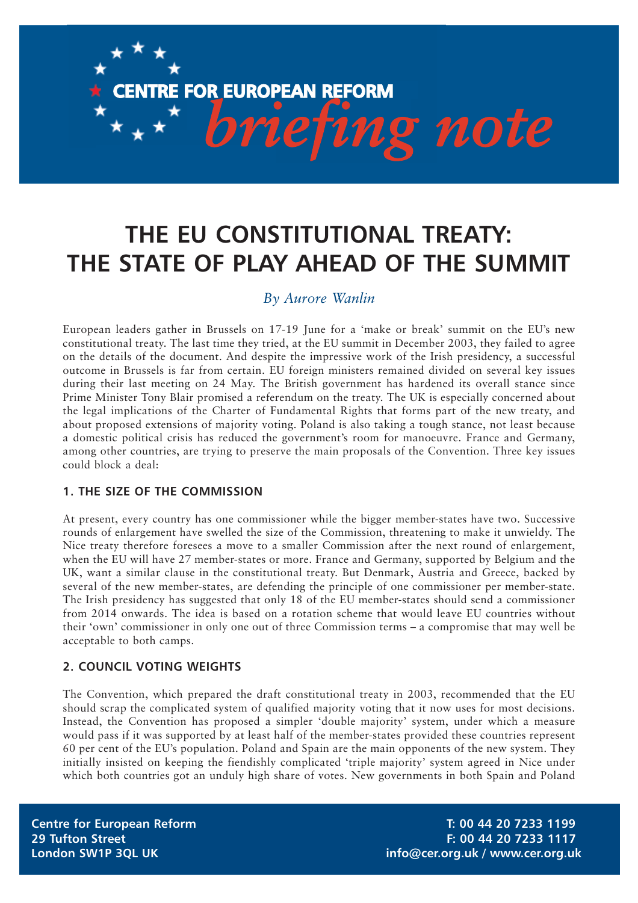# *briefing note*

**CENTRE FOR EUROPEAN REFORM**

## **THE EU CONSTITUTIONAL TREATY: THE STATE OF PLAY AHEAD OF THE SUMMIT**

### *By Aurore Wanlin*

European leaders gather in Brussels on 17-19 June for a 'make or break' summit on the EU's new constitutional treaty. The last time they tried, at the EU summit in December 2003, they failed to agree on the details of the document. And despite the impressive work of the Irish presidency, a successful outcome in Brussels is far from certain. EU foreign ministers remained divided on several key issues during their last meeting on 24 May. The British government has hardened its overall stance since Prime Minister Tony Blair promised a referendum on the treaty. The UK is especially concerned about the legal implications of the Charter of Fundamental Rights that forms part of the new treaty, and about proposed extensions of majority voting. Poland is also taking a tough stance, not least because a domestic political crisis has reduced the government's room for manoeuvre. France and Germany, among other countries, are trying to preserve the main proposals of the Convention. Three key issues could block a deal:

#### **1. THE SIZE OF THE COMMISSION**

At present, every country has one commissioner while the bigger member-states have two. Successive rounds of enlargement have swelled the size of the Commission, threatening to make it unwieldy. The Nice treaty therefore foresees a move to a smaller Commission after the next round of enlargement, when the EU will have 27 member-states or more. France and Germany, supported by Belgium and the UK, want a similar clause in the constitutional treaty. But Denmark, Austria and Greece, backed by several of the new member-states, are defending the principle of one commissioner per member-state. The Irish presidency has suggested that only 18 of the EU member-states should send a commissioner from 2014 onwards. The idea is based on a rotation scheme that would leave EU countries without their 'own' commissioner in only one out of three Commission terms – a compromise that may well be acceptable to both camps.

#### **2. COUNCIL VOTING WEIGHTS**

The Convention, which prepared the draft constitutional treaty in 2003, recommended that the EU should scrap the complicated system of qualified majority voting that it now uses for most decisions. Instead, the Convention has proposed a simpler 'double majority' system, under which a measure would pass if it was supported by at least half of the member-states provided these countries represent 60 per cent of the EU's population. Poland and Spain are the main opponents of the new system. They initially insisted on keeping the fiendishly complicated 'triple majority' system agreed in Nice under which both countries got an unduly high share of votes. New governments in both Spain and Poland

**Centre for European Reform T: 00 44 20 7233 1199 29 Tufton Street F: 00 44 20 7233 1117 London SW1P 3QL UK info@cer.org.uk / www.cer.org.uk**